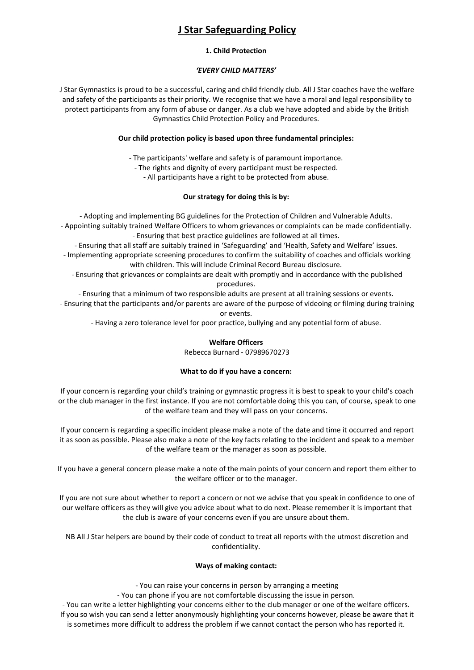# **J Star Safeguarding Policy**

### **1. Child Protection**

## *'EVERY CHILD MATTERS'*

J Star Gymnastics is proud to be a successful, caring and child friendly club. All J Star coaches have the welfare and safety of the participants as their priority. We recognise that we have a moral and legal responsibility to protect participants from any form of abuse or danger. As a club we have adopted and abide by the British Gymnastics Child Protection Policy and Procedures.

## **Our child protection policy is based upon three fundamental principles:**

- The participants' welfare and safety is of paramount importance.

- The rights and dignity of every participant must be respected.

- All participants have a right to be protected from abuse.

# **Our strategy for doing this is by:**

- Adopting and implementing BG guidelines for the Protection of Children and Vulnerable Adults. - Appointing suitably trained Welfare Officers to whom grievances or complaints can be made confidentially. - Ensuring that best practice guidelines are followed at all times.

- Ensuring that all staff are suitably trained in 'Safeguarding' and 'Health, Safety and Welfare' issues. - Implementing appropriate screening procedures to confirm the suitability of coaches and officials working with children. This will include Criminal Record Bureau disclosure.

- Ensuring that grievances or complaints are dealt with promptly and in accordance with the published procedures.

- Ensuring that a minimum of two responsible adults are present at all training sessions or events.

- Ensuring that the participants and/or parents are aware of the purpose of videoing or filming during training or events.

- Having a zero tolerance level for poor practice, bullying and any potential form of abuse.

# **Welfare Officers**

Rebecca Burnard - 07989670273

# **What to do if you have a concern:**

If your concern is regarding your child's training or gymnastic progress it is best to speak to your child's coach or the club manager in the first instance. If you are not comfortable doing this you can, of course, speak to one of the welfare team and they will pass on your concerns.

If your concern is regarding a specific incident please make a note of the date and time it occurred and report it as soon as possible. Please also make a note of the key facts relating to the incident and speak to a member of the welfare team or the manager as soon as possible.

If you have a general concern please make a note of the main points of your concern and report them either to the welfare officer or to the manager.

If you are not sure about whether to report a concern or not we advise that you speak in confidence to one of our welfare officers as they will give you advice about what to do next. Please remember it is important that the club is aware of your concerns even if you are unsure about them.

NB All J Star helpers are bound by their code of conduct to treat all reports with the utmost discretion and confidentiality.

# **Ways of making contact:**

- You can raise your concerns in person by arranging a meeting

- You can phone if you are not comfortable discussing the issue in person.

- You can write a letter highlighting your concerns either to the club manager or one of the welfare officers. If you so wish you can send a letter anonymously highlighting your concerns however, please be aware that it is sometimes more difficult to address the problem if we cannot contact the person who has reported it.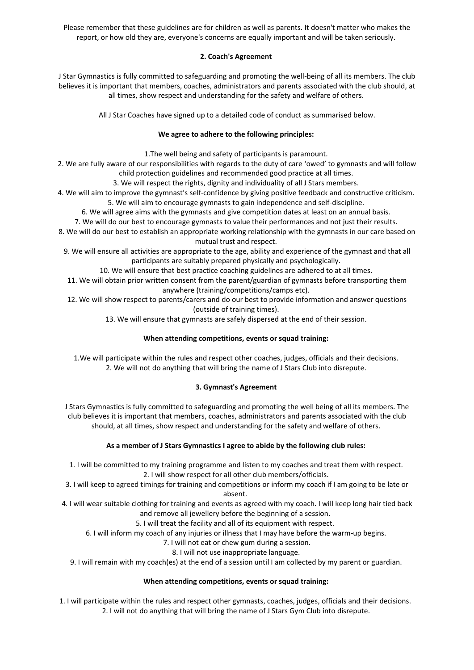Please remember that these guidelines are for children as well as parents. It doesn't matter who makes the report, or how old they are, everyone's concerns are equally important and will be taken seriously.

# **2. Coach's Agreement**

J Star Gymnastics is fully committed to safeguarding and promoting the well-being of all its members. The club believes it is important that members, coaches, administrators and parents associated with the club should, at all times, show respect and understanding for the safety and welfare of others.

All J Star Coaches have signed up to a detailed code of conduct as summarised below.

## **We agree to adhere to the following principles:**

1.The well being and safety of participants is paramount.

2. We are fully aware of our responsibilities with regards to the duty of care 'owed' to gymnasts and will follow child protection guidelines and recommended good practice at all times.

3. We will respect the rights, dignity and individuality of all J Stars members.

4. We will aim to improve the gymnast's self-confidence by giving positive feedback and constructive criticism. 5. We will aim to encourage gymnasts to gain independence and self-discipline.

6. We will agree aims with the gymnasts and give competition dates at least on an annual basis.

7. We will do our best to encourage gymnasts to value their performances and not just their results.

8. We will do our best to establish an appropriate working relationship with the gymnasts in our care based on mutual trust and respect.

9. We will ensure all activities are appropriate to the age, ability and experience of the gymnast and that all participants are suitably prepared physically and psychologically.

10. We will ensure that best practice coaching guidelines are adhered to at all times.

11. We will obtain prior written consent from the parent/guardian of gymnasts before transporting them anywhere (training/competitions/camps etc).

12. We will show respect to parents/carers and do our best to provide information and answer questions (outside of training times).

13. We will ensure that gymnasts are safely dispersed at the end of their session.

# **When attending competitions, events or squad training:**

1.We will participate within the rules and respect other coaches, judges, officials and their decisions. 2. We will not do anything that will bring the name of J Stars Club into disrepute.

# **3. Gymnast's Agreement**

J Stars Gymnastics is fully committed to safeguarding and promoting the well being of all its members. The club believes it is important that members, coaches, administrators and parents associated with the club should, at all times, show respect and understanding for the safety and welfare of others.

# **As a member of J Stars Gymnastics I agree to abide by the following club rules:**

1. I will be committed to my training programme and listen to my coaches and treat them with respect. 2. I will show respect for all other club members/officials.

3. I will keep to agreed timings for training and competitions or inform my coach if I am going to be late or absent.

4. I will wear suitable clothing for training and events as agreed with my coach. I will keep long hair tied back and remove all jewellery before the beginning of a session.

5. I will treat the facility and all of its equipment with respect.

6. I will inform my coach of any injuries or illness that I may have before the warm-up begins.

7. I will not eat or chew gum during a session.

8. I will not use inappropriate language.

9. I will remain with my coach(es) at the end of a session until I am collected by my parent or guardian.

# **When attending competitions, events or squad training:**

1. I will participate within the rules and respect other gymnasts, coaches, judges, officials and their decisions. 2. I will not do anything that will bring the name of J Stars Gym Club into disrepute.